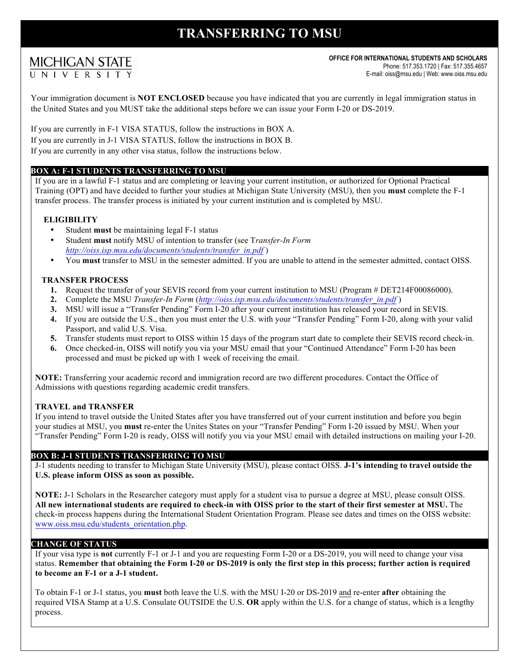# **TRANSFERRING TO MSU**

# **MICHIGAN STATE** UNIVERSIT

**OFFICE FOR INTERNATIONAL STUDENTS AND SCHOLARS** Phone: 517.353.1720 | Fax: 517.355.4657 E-mail: oiss@msu.edu | Web: www.oiss.msu.edu

Your immigration document is **NOT ENCLOSED** because you have indicated that you are currently in legal immigration status in the United States and you MUST take the additional steps before we can issue your Form I-20 or DS-2019.

If you are currently in F-1 VISA STATUS, follow the instructions in BOX A. If you are currently in J-1 VISA STATUS, follow the instructions in BOX B. If you are currently in any other visa status, follow the instructions below.

### **BOX A: F-1 STUDENTS TRANSFERRING TO MSU**

If you are in a lawful F-1 status and are completing or leaving your current institution, or authorized for Optional Practical Training (OPT) and have decided to further your studies at Michigan State University (MSU), then you **must** complete the F-1 transfer process. The transfer process is initiated by your current institution and is completed by MSU.

### **ELIGIBILITY**

- Student **must** be maintaining legal F-1 status
- Student **must** notify MSU of intention to transfer (see T*ransfer-In Form http://oiss.isp.msu.edu/documents/students/transfer\_in.pdf* )
- You **must** transfer to MSU in the semester admitted. If you are unable to attend in the semester admitted, contact OISS.

#### **TRANSFER PROCESS**

- **1.** Request the transfer of your SEVIS record from your current institution to MSU (Program # DET214F00086000).
- 2. Complete the MSU *Transfer-In Form* (*http://oiss.isp.msu.edu/documents/students/transfer\_in.pdf*)
- **3.** MSU will issue a "Transfer Pending" Form I-20 after your current institution has released your record in SEVIS.
- **4.** If you are outside the U.S., then you must enter the U.S. with your "Transfer Pending" Form I-20, along with your valid Passport, and valid U.S. Visa.
- **5.** Transfer students must report to OISS within 15 days of the program start date to complete their SEVIS record check-in.
- **6.** Once checked-in, OISS will notify you via your MSU email that your "Continued Attendance" Form I-20 has been processed and must be picked up with 1 week of receiving the email.

**NOTE:** Transferring your academic record and immigration record are two different procedures. Contact the Office of Admissions with questions regarding academic credit transfers.

#### **TRAVEL and TRANSFER**

If you intend to travel outside the United States after you have transferred out of your current institution and before you begin your studies at MSU, you **must** re-enter the Unites States on your "Transfer Pending" Form I-20 issued by MSU. When your "Transfer Pending" Form I-20 is ready, OISS will notify you via your MSU email with detailed instructions on mailing your I-20.

#### **BOX B: J-1 STUDENTS TRANSFERRING TO MSU**

J-1 students needing to transfer to Michigan State University (MSU), please contact OISS. **J-1's intending to travel outside the U.S. please inform OISS as soon as possible.**

**NOTE:** J-1 Scholars in the Researcher category must apply for a student visa to pursue a degree at MSU, please consult OISS. **All new international students are required to check-in with OISS prior to the start of their first semester at MSU.** The check-in process happens during the International Student Orientation Program. Please see dates and times on the OISS website: www.oiss.msu.edu/students\_orientation.php.

#### **CHANGE OF STATUS**

If your visa type is **not** currently F-1 or J-1 and you are requesting Form I-20 or a DS-2019, you will need to change your visa status. **Remember that obtaining the Form I-20 or DS-2019 is only the first step in this process; further action is required to become an F-1 or a J-1 student.**

To obtain F-1 or J-1 status, you **must** both leave the U.S. with the MSU I-20 or DS-2019 and re-enter **after** obtaining the required VISA Stamp at a U.S. Consulate OUTSIDE the U.S. **OR** apply within the U.S. for a change of status, which is a lengthy process.